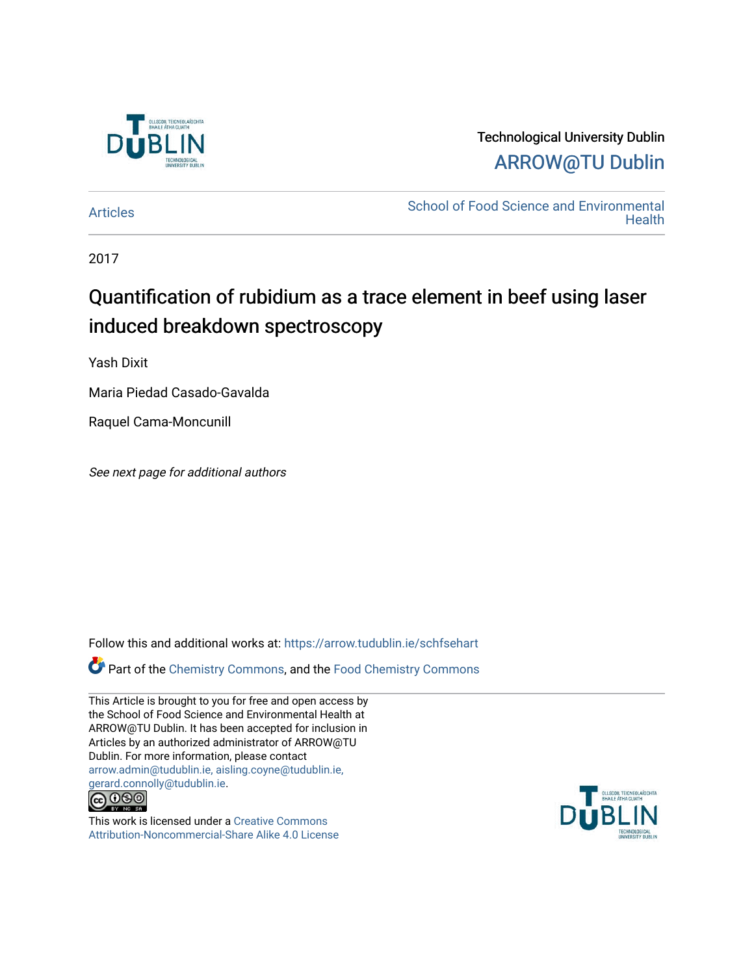

## Technological University Dublin [ARROW@TU Dublin](https://arrow.tudublin.ie/)

[Articles](https://arrow.tudublin.ie/schfsehart) **School of Food Science and Environmental Health** 

2017

# Quantification of rubidium as a trace element in beef using laser induced breakdown spectroscopy

Yash Dixit

Maria Piedad Casado-Gavalda

Raquel Cama-Moncunill

See next page for additional authors

Follow this and additional works at: [https://arrow.tudublin.ie/schfsehart](https://arrow.tudublin.ie/schfsehart?utm_source=arrow.tudublin.ie%2Fschfsehart%2F461&utm_medium=PDF&utm_campaign=PDFCoverPages) 

Part of the [Chemistry Commons,](http://network.bepress.com/hgg/discipline/131?utm_source=arrow.tudublin.ie%2Fschfsehart%2F461&utm_medium=PDF&utm_campaign=PDFCoverPages) and the [Food Chemistry Commons](http://network.bepress.com/hgg/discipline/87?utm_source=arrow.tudublin.ie%2Fschfsehart%2F461&utm_medium=PDF&utm_campaign=PDFCoverPages) 

This Article is brought to you for free and open access by the School of Food Science and Environmental Health at ARROW@TU Dublin. It has been accepted for inclusion in Articles by an authorized administrator of ARROW@TU Dublin. For more information, please contact [arrow.admin@tudublin.ie, aisling.coyne@tudublin.ie,](mailto:arrow.admin@tudublin.ie,%20aisling.coyne@tudublin.ie,%20gerard.connolly@tudublin.ie)  [gerard.connolly@tudublin.ie](mailto:arrow.admin@tudublin.ie,%20aisling.coyne@tudublin.ie,%20gerard.connolly@tudublin.ie).



This work is licensed under a [Creative Commons](http://creativecommons.org/licenses/by-nc-sa/4.0/) [Attribution-Noncommercial-Share Alike 4.0 License](http://creativecommons.org/licenses/by-nc-sa/4.0/)

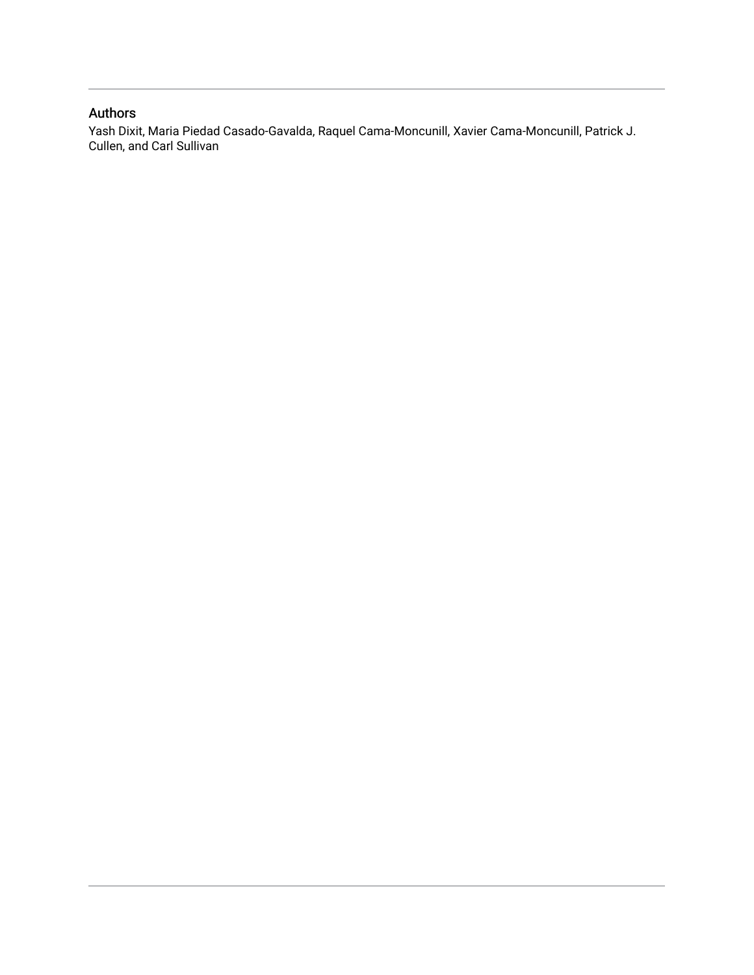### Authors

Yash Dixit, Maria Piedad Casado-Gavalda, Raquel Cama-Moncunill, Xavier Cama-Moncunill, Patrick J. Cullen, and Carl Sullivan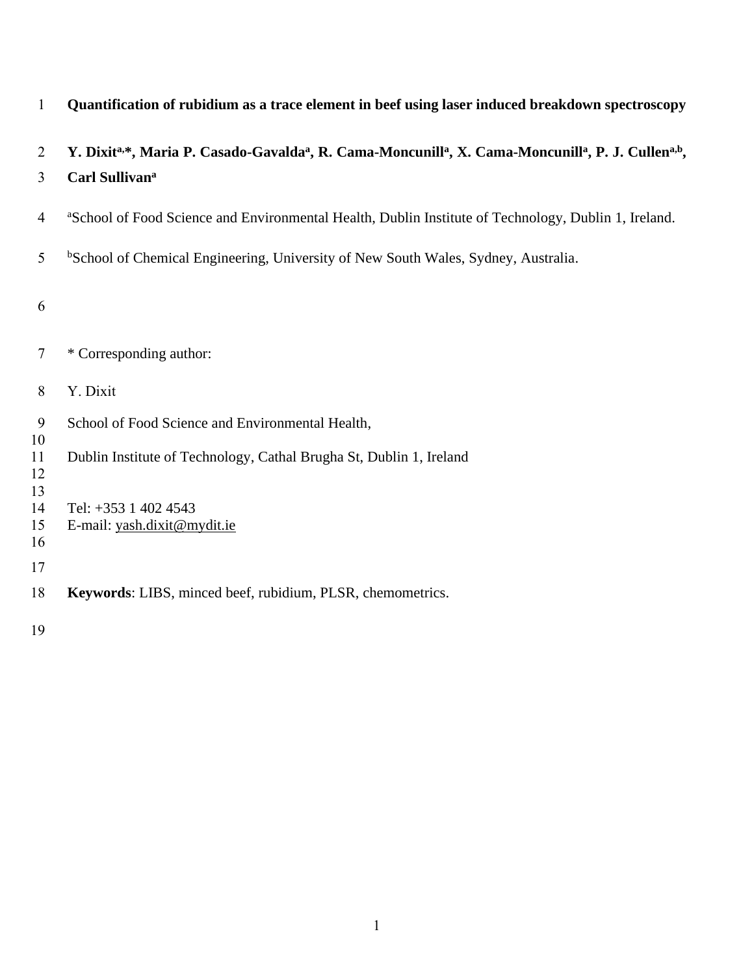| $\mathbf{1}$   | Quantification of rubidium as a trace element in beef using laser induced breakdown spectroscopy                                                    |
|----------------|-----------------------------------------------------------------------------------------------------------------------------------------------------|
| $\overline{2}$ | Y. Dixita,*, Maria P. Casado-Gavalda <sup>a</sup> , R. Cama-Moncunill <sup>a</sup> , X. Cama-Moncunill <sup>a</sup> , P. J. Cullen <sup>a,b</sup> , |
| 3              | Carl Sullivan <sup>a</sup>                                                                                                                          |
| 4              | <sup>a</sup> School of Food Science and Environmental Health, Dublin Institute of Technology, Dublin 1, Ireland.                                    |
| 5              | <sup>b</sup> School of Chemical Engineering, University of New South Wales, Sydney, Australia.                                                      |
| 6              |                                                                                                                                                     |
| 7              | * Corresponding author:                                                                                                                             |
| 8              | Y. Dixit                                                                                                                                            |
| 9<br>10        | School of Food Science and Environmental Health,                                                                                                    |
| 11<br>12<br>13 | Dublin Institute of Technology, Cathal Brugha St, Dublin 1, Ireland                                                                                 |
| 14             | Tel: +353 1 402 4543                                                                                                                                |
| 15<br>16       | E-mail: yash.dixit@mydit.ie                                                                                                                         |
| 17             |                                                                                                                                                     |
| 18             | Keywords: LIBS, minced beef, rubidium, PLSR, chemometrics.                                                                                          |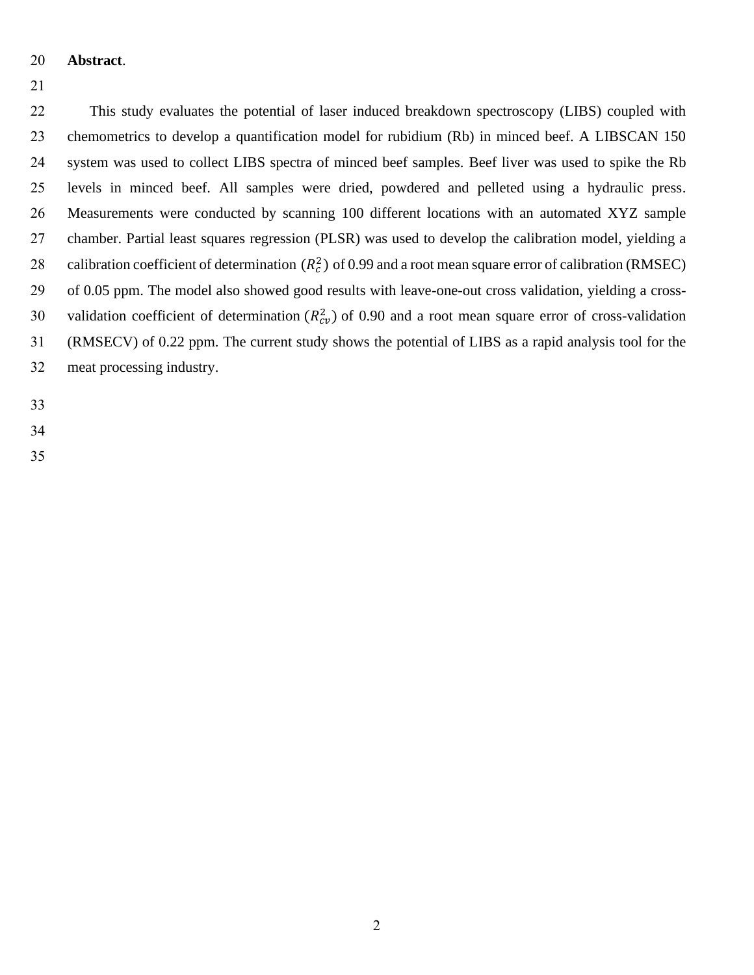- **Abstract**.
- 

 This study evaluates the potential of laser induced breakdown spectroscopy (LIBS) coupled with chemometrics to develop a quantification model for rubidium (Rb) in minced beef. A LIBSCAN 150 system was used to collect LIBS spectra of minced beef samples. Beef liver was used to spike the Rb levels in minced beef. All samples were dried, powdered and pelleted using a hydraulic press. Measurements were conducted by scanning 100 different locations with an automated XYZ sample chamber. Partial least squares regression (PLSR) was used to develop the calibration model, yielding a 28 calibration coefficient of determination  $(R_c^2)$  of 0.99 and a root mean square error of calibration (RMSEC) of 0.05 ppm. The model also showed good results with leave-one-out cross validation, yielding a cross-30 validation coefficient of determination  $(R_{cv}^2)$  of 0.90 and a root mean square error of cross-validation (RMSECV) of 0.22 ppm. The current study shows the potential of LIBS as a rapid analysis tool for the meat processing industry.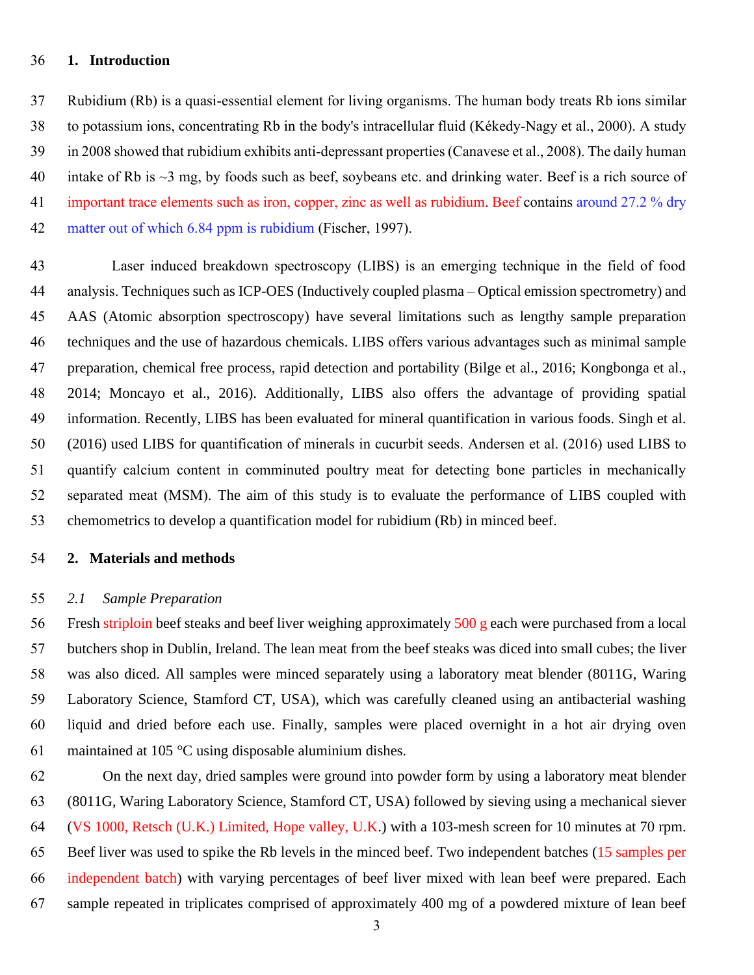#### **1. Introduction**

 Rubidium (Rb) is a quasi-essential element for living organisms. The human body treats Rb ions similar to potassium ions, concentrating Rb in the body's intracellular fluid [\(Kékedy-Nagy et al., 2000\)](#page-8-0). A study in 2008 showed that rubidium exhibits anti-depressant properties [\(Canavese et al., 2008\)](#page-8-1). The daily human 40 intake of Rb is  $\sim$ 3 mg, by foods such as beef, soybeans etc. and drinking water. Beef is a rich source of 41 important trace elements such as iron, copper, zinc as well as rubidium. Beef contains around 27.2 % dry matter out of which 6.84 ppm is rubidium [\(Fischer, 1997\)](#page-8-2).

 Laser induced breakdown spectroscopy (LIBS) is an emerging technique in the field of food analysis. Techniques such as ICP-OES (Inductively coupled plasma – Optical emission spectrometry) and AAS (Atomic absorption spectroscopy) have several limitations such as lengthy sample preparation techniques and the use of hazardous chemicals. LIBS offers various advantages such as minimal sample preparation, chemical free process, rapid detection and portability [\(Bilge et al., 2016;](#page-7-0) [Kongbonga et al.,](#page-8-3)  [2014;](#page-8-3) [Moncayo et al., 2016\)](#page-8-4). Additionally, LIBS also offers the advantage of providing spatial information. Recently, LIBS has been evaluated for mineral quantification in various foods. [Singh et al.](#page-9-0)  (2016) used LIBS for quantification of minerals in cucurbit seeds. [Andersen et al. \(2016\)](#page-7-1) used LIBS to quantify calcium content in comminuted poultry meat for detecting bone particles in mechanically separated meat (MSM). The aim of this study is to evaluate the performance of LIBS coupled with chemometrics to develop a quantification model for rubidium (Rb) in minced beef.

#### **2. Materials and methods**

#### *2.1 Sample Preparation*

 Fresh striploin beef steaks and beef liver weighing approximately 500 g each were purchased from a local butchers shop in Dublin, Ireland. The lean meat from the beef steaks was diced into small cubes; the liver was also diced. All samples were minced separately using a laboratory meat blender (8011G, Waring Laboratory Science, Stamford CT, USA), which was carefully cleaned using an antibacterial washing liquid and dried before each use. Finally, samples were placed overnight in a hot air drying oven maintained at 105 °C using disposable aluminium dishes.

 On the next day, dried samples were ground into powder form by using a laboratory meat blender (8011G, Waring Laboratory Science, Stamford CT, USA) followed by sieving using a mechanical siever (VS 1000, Retsch (U.K.) Limited, Hope valley, U.K.) with a 103-mesh screen for 10 minutes at 70 rpm. Beef liver was used to spike the Rb levels in the minced beef. Two independent batches (15 samples per independent batch) with varying percentages of beef liver mixed with lean beef were prepared. Each sample repeated in triplicates comprised of approximately 400 mg of a powdered mixture of lean beef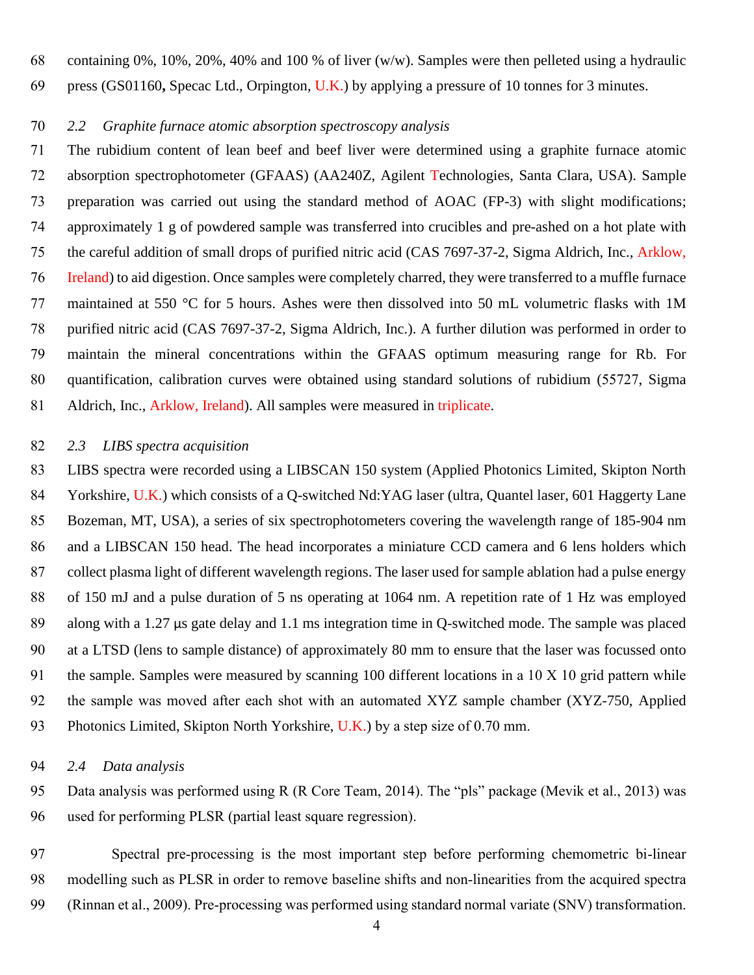containing 0%, 10%, 20%, 40% and 100 % of liver (w/w). Samples were then pelleted using a hydraulic press (GS01160**,** Specac Ltd., Orpington, U.K.) by applying a pressure of 10 tonnes for 3 minutes.

#### *2.2 Graphite furnace atomic absorption spectroscopy analysis*

 The rubidium content of lean beef and beef liver were determined using a graphite furnace atomic absorption spectrophotometer (GFAAS) (AA240Z, Agilent Technologies, Santa Clara, USA). Sample preparation was carried out using the standard method of AOAC (FP-3) with slight modifications; approximately 1 g of powdered sample was transferred into crucibles and pre-ashed on a hot plate with the careful addition of small drops of purified nitric acid (CAS 7697-37-2, Sigma Aldrich, Inc., Arklow, Ireland) to aid digestion. Once samples were completely charred, they were transferred to a muffle furnace maintained at 550 °C for 5 hours. Ashes were then dissolved into 50 mL volumetric flasks with 1M purified nitric acid (CAS 7697-37-2, Sigma Aldrich, Inc.). A further dilution was performed in order to maintain the mineral concentrations within the GFAAS optimum measuring range for Rb. For quantification, calibration curves were obtained using standard solutions of rubidium (55727, Sigma Aldrich, Inc., Arklow, Ireland). All samples were measured in triplicate.

#### *2.3 LIBS spectra acquisition*

 LIBS spectra were recorded using a LIBSCAN 150 system (Applied Photonics Limited, Skipton North Yorkshire, U.K.) which consists of a Q-switched Nd:YAG laser (ultra, Quantel laser, 601 Haggerty Lane Bozeman, MT, USA), a series of six spectrophotometers covering the wavelength range of 185-904 nm and a LIBSCAN 150 head. The head incorporates a miniature CCD camera and 6 lens holders which collect plasma light of different wavelength regions. The laser used for sample ablation had a pulse energy of 150 mJ and a pulse duration of 5 ns operating at 1064 nm. A repetition rate of 1 Hz was employed along with a 1.27 μs gate delay and 1.1 ms integration time in Q-switched mode. The sample was placed at a LTSD (lens to sample distance) of approximately 80 mm to ensure that the laser was focussed onto the sample. Samples were measured by scanning 100 different locations in a 10 X 10 grid pattern while the sample was moved after each shot with an automated XYZ sample chamber (XYZ-750, Applied 93 Photonics Limited, Skipton North Yorkshire, U.K.) by a step size of 0.70 mm.

#### *2.4 Data analysis*

 Data analysis was performed using R [\(R Core Team, 2014\)](#page-8-5). The "pls" package [\(Mevik et al., 2013\)](#page-8-6) was used for performing PLSR (partial least square regression).

 Spectral pre-processing is the most important step before performing chemometric bi-linear modelling such as PLSR in order to remove baseline shifts and non-linearities from the acquired spectra [\(Rinnan et al., 2009\)](#page-9-1). Pre-processing was performed using standard normal variate (SNV) transformation.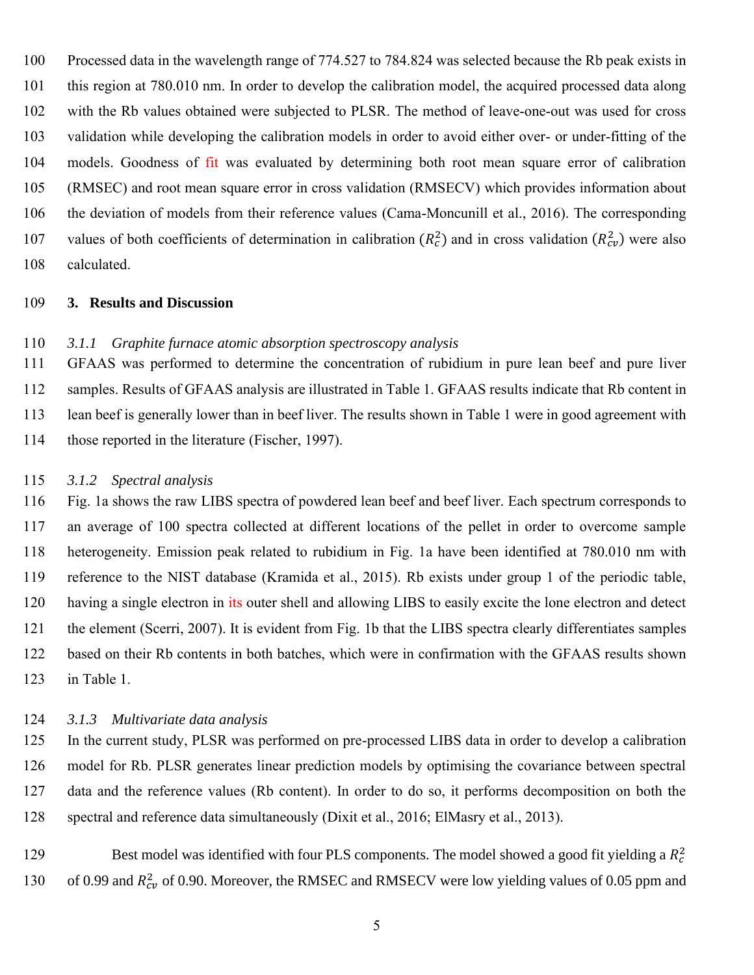Processed data in the wavelength range of 774.527 to 784.824 was selected because the Rb peak exists in this region at 780.010 nm. In order to develop the calibration model, the acquired processed data along with the Rb values obtained were subjected to PLSR. The method of leave-one-out was used for cross validation while developing the calibration models in order to avoid either over- or under-fitting of the models. Goodness of fit was evaluated by determining both root mean square error of calibration (RMSEC) and root mean square error in cross validation (RMSECV) which provides information about the deviation of models from their reference values [\(Cama-Moncunill et](#page-8-7) al., 2016). The corresponding 107 values of both coefficients of determination in calibration  $(R_c^2)$  and in cross validation  $(R_{cv}^2)$  were also calculated.

#### **3. Results and Discussion**

#### *3.1.1 Graphite furnace atomic absorption spectroscopy analysis*

 GFAAS was performed to determine the concentration of rubidium in pure lean beef and pure liver samples. Results of GFAAS analysis are illustrated in Table 1. GFAAS results indicate that Rb content in lean beef is generally lower than in beef liver. The results shown in Table 1 were in good agreement with those reported in the literature [\(Fischer, 1997\)](#page-8-2).

#### *3.1.2 Spectral analysis*

 Fig. 1a shows the raw LIBS spectra of powdered lean beef and beef liver. Each spectrum corresponds to an average of 100 spectra collected at different locations of the pellet in order to overcome sample heterogeneity. Emission peak related to rubidium in Fig. 1a have been identified at 780.010 nm with reference to the NIST database [\(Kramida et al., 2015\)](#page-8-8). Rb exists under group 1 of the periodic table, 120 having a single electron in its outer shell and allowing LIBS to easily excite the lone electron and detect 121 the element [\(Scerri, 2007\)](#page-9-2). It is evident from Fig. 1b that the LIBS spectra clearly differentiates samples based on their Rb contents in both batches, which were in confirmation with the GFAAS results shown in Table 1.

#### *3.1.3 Multivariate data analysis*

 In the current study, PLSR was performed on pre-processed LIBS data in order to develop a calibration model for Rb. PLSR generates linear prediction models by optimising the covariance between spectral data and the reference values (Rb content). In order to do so, it performs decomposition on both the spectral and reference data simultaneously [\(Dixit et al., 2016;](#page-8-9) [ElMasry et al., 2013\)](#page-8-10).

129 Best model was identified with four PLS components. The model showed a good fit yielding a  $R_c^2$ 130 of 0.99 and  $R_{cv}^2$  of 0.90. Moreover, the RMSEC and RMSECV were low yielding values of 0.05 ppm and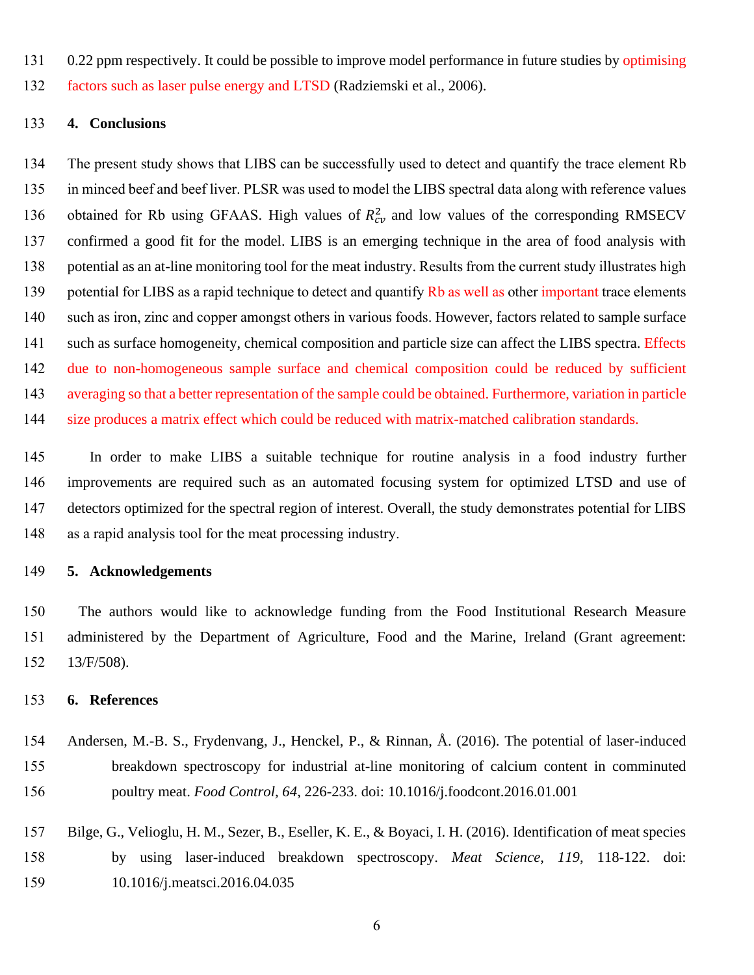0.22 ppm respectively. It could be possible to improve model performance in future studies by optimising factors such as laser pulse energy and LTSD [\(Radziemski et al., 2006\)](#page-9-3).

#### **4. Conclusions**

 The present study shows that LIBS can be successfully used to detect and quantify the trace element Rb in minced beef and beef liver. PLSR was used to model the LIBS spectral data along with reference values 136 obtained for Rb using GFAAS. High values of  $R_{cv}^2$  and low values of the corresponding RMSECV confirmed a good fit for the model. LIBS is an emerging technique in the area of food analysis with potential as an at-line monitoring tool for the meat industry. Results from the current study illustrates high 139 potential for LIBS as a rapid technique to detect and quantify Rb as well as other important trace elements such as iron, zinc and copper amongst others in various foods. However, factors related to sample surface such as surface homogeneity, chemical composition and particle size can affect the LIBS spectra. Effects due to non-homogeneous sample surface and chemical composition could be reduced by sufficient averaging so that a better representation of the sample could be obtained. Furthermore, variation in particle size produces a matrix effect which could be reduced with matrix-matched calibration standards.

 In order to make LIBS a suitable technique for routine analysis in a food industry further improvements are required such as an automated focusing system for optimized LTSD and use of detectors optimized for the spectral region of interest. Overall, the study demonstrates potential for LIBS as a rapid analysis tool for the meat processing industry.

#### **5. Acknowledgements**

 The authors would like to acknowledge funding from the Food Institutional Research Measure administered by the Department of Agriculture, Food and the Marine, Ireland (Grant agreement: 13/F/508).

#### **6. References**

- <span id="page-7-1"></span> Andersen, M.-B. S., Frydenvang, J., Henckel, P., & Rinnan, Å. (2016). The potential of laser-induced breakdown spectroscopy for industrial at-line monitoring of calcium content in comminuted poultry meat. *Food Control, 64*, 226-233. doi: 10.1016/j.foodcont.2016.01.001
- <span id="page-7-0"></span> Bilge, G., Velioglu, H. M., Sezer, B., Eseller, K. E., & Boyaci, I. H. (2016). Identification of meat species by using laser-induced breakdown spectroscopy. *Meat Science, 119*, 118-122. doi: 10.1016/j.meatsci.2016.04.035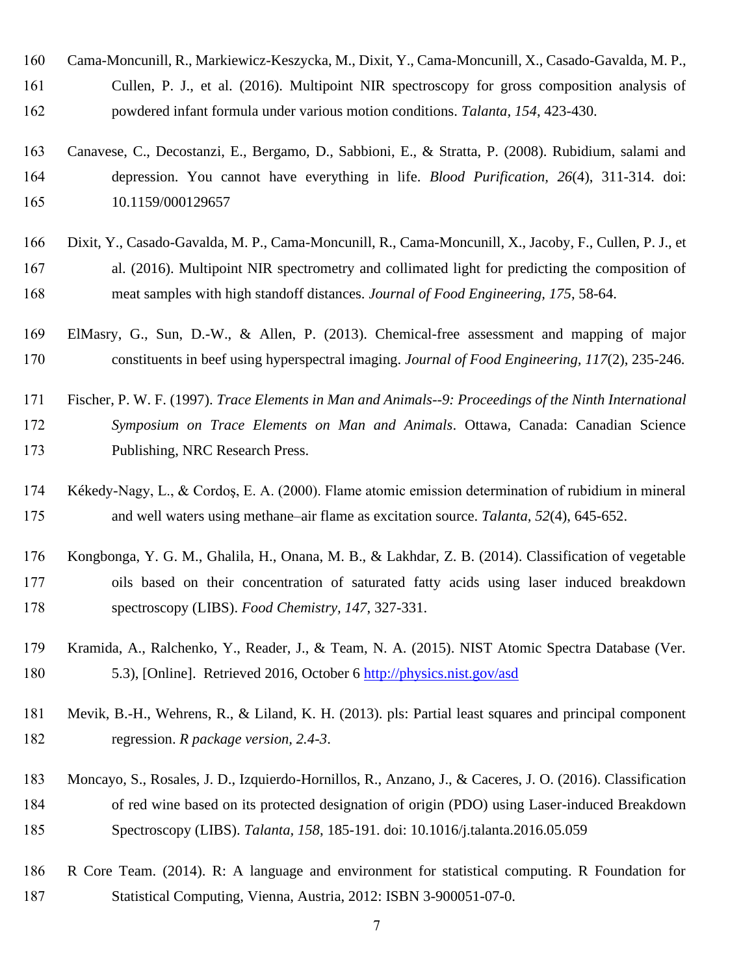- <span id="page-8-7"></span> Cama-Moncunill, R., Markiewicz-Keszycka, M., Dixit, Y., Cama-Moncunill, X., Casado-Gavalda, M. P., Cullen, P. J., et al. (2016). Multipoint NIR spectroscopy for gross composition analysis of powdered infant formula under various motion conditions. *Talanta, 154*, 423-430.
- <span id="page-8-1"></span> Canavese, C., Decostanzi, E., Bergamo, D., Sabbioni, E., & Stratta, P. (2008). Rubidium, salami and depression. You cannot have everything in life. *Blood Purification, 26*(4), 311-314. doi: 10.1159/000129657
- <span id="page-8-9"></span> Dixit, Y., Casado-Gavalda, M. P., Cama-Moncunill, R., Cama-Moncunill, X., Jacoby, F., Cullen, P. J., et al. (2016). Multipoint NIR spectrometry and collimated light for predicting the composition of meat samples with high standoff distances. *Journal of Food Engineering, 175*, 58-64.
- <span id="page-8-10"></span> ElMasry, G., Sun, D.-W., & Allen, P. (2013). Chemical-free assessment and mapping of major constituents in beef using hyperspectral imaging. *Journal of Food Engineering, 117*(2), 235-246.
- <span id="page-8-2"></span> Fischer, P. W. F. (1997). *Trace Elements in Man and Animals--9: Proceedings of the Ninth International Symposium on Trace Elements on Man and Animals*. Ottawa, Canada: Canadian Science Publishing, NRC Research Press.
- <span id="page-8-0"></span> Kékedy-Nagy, L., & Cordoş, E. A. (2000). Flame atomic emission determination of rubidium in mineral and well waters using methane–air flame as excitation source. *Talanta, 52*(4), 645-652.
- <span id="page-8-3"></span> Kongbonga, Y. G. M., Ghalila, H., Onana, M. B., & Lakhdar, Z. B. (2014). Classification of vegetable oils based on their concentration of saturated fatty acids using laser induced breakdown spectroscopy (LIBS). *Food Chemistry, 147*, 327-331.
- <span id="page-8-8"></span> Kramida, A., Ralchenko, Y., Reader, J., & Team, N. A. (2015). NIST Atomic Spectra Database (Ver. 5.3), [Online]. Retrieved 2016, October 6<http://physics.nist.gov/asd>
- <span id="page-8-6"></span> Mevik, B.-H., Wehrens, R., & Liland, K. H. (2013). pls: Partial least squares and principal component regression. *R package version, 2.4-3*.
- <span id="page-8-4"></span> Moncayo, S., Rosales, J. D., Izquierdo-Hornillos, R., Anzano, J., & Caceres, J. O. (2016). Classification of red wine based on its protected designation of origin (PDO) using Laser-induced Breakdown Spectroscopy (LIBS). *Talanta, 158*, 185-191. doi: 10.1016/j.talanta.2016.05.059
- <span id="page-8-5"></span> R Core Team. (2014). R: A language and environment for statistical computing. R Foundation for Statistical Computing, Vienna, Austria, 2012: ISBN 3-900051-07-0.